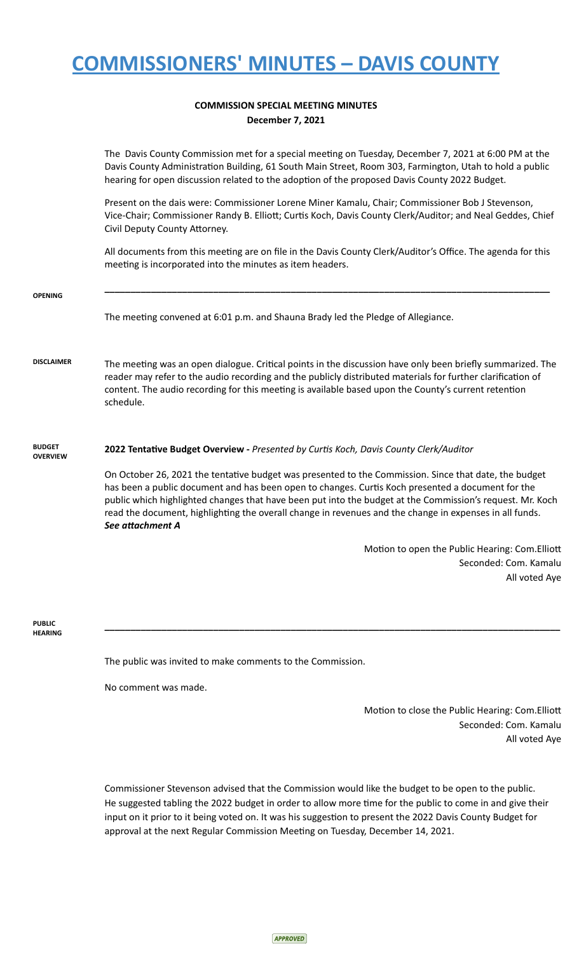# **COMMISSIONERS' MINUTES – DAVIS COUNTY**

### **COMMISSION SPECIAL MEETING MINUTES December 7, 2021**

The Davis County Commission met for a special meeting on Tuesday, December 7, 2021 at 6:00 PM at the Davis County Administration Building, 61 South Main Street, Room 303, Farmington, Utah to hold a public hearing for open discussion related to the adoption of the proposed Davis County 2022 Budget. Present on the dais were: Commissioner Lorene Miner Kamalu, Chair; Commissioner Bob J Stevenson, Vice-Chair; Commissioner Randy B. Elliott; Curtis Koch, Davis County Clerk/Auditor; and Neal Geddes, Chief Civil Deputy County Attorney. All documents from this meeting are on file in the Davis County Clerk/Auditor's Office. The agenda for this meeting is incorporated into the minutes as item headers. **OPENING \_\_\_\_\_\_\_\_\_\_\_\_\_\_\_\_\_\_\_\_\_\_\_\_\_\_\_\_\_\_\_\_\_\_\_\_\_\_\_\_\_\_\_\_\_\_\_\_\_\_\_\_\_\_\_\_\_\_\_\_\_\_\_\_\_\_\_\_\_\_\_\_\_\_\_\_\_\_\_\_\_\_\_\_\_\_** The meeting convened at 6:01 p.m. and Shauna Brady led the Pledge of Allegiance. DISCLAIMER The meeting was an open dialogue. Critical points in the discussion have only been briefly summarized. The reader may refer to the audio recording and the publicly distributed materials for further clarification of content. The audio recording for this meeting is available based upon the County's current retention schedule. **BUDGET OVERVIEW 2022 Tentave Budget Overview -** *Presented by Curs Koch, Davis County Clerk/Auditor* On October 26, 2021 the tentative budget was presented to the Commission. Since that date, the budget has been a public document and has been open to changes. Curtis Koch presented a document for the public which highlighted changes that have been put into the budget at the Commission's request. Mr. Koch read the document, highlighting the overall change in revenues and the change in expenses in all funds. See attachment **A** Motion to open the Public Hearing: Com. Elliott Seconded: Com. Kamalu All voted Aye

#### **PUBLIC HEARING**

The public was invited to make comments to the Commission.

No comment was made.

Motion to close the Public Hearing: Com.Elliott Seconded: Com. Kamalu All voted Aye

Commissioner Stevenson advised that the Commission would like the budget to be open to the public. He suggested tabling the 2022 budget in order to allow more time for the public to come in and give their input on it prior to it being voted on. It was his suggestion to present the 2022 Davis County Budget for approval at the next Regular Commission Meeting on Tuesday, December 14, 2021.

**\_\_\_\_\_\_\_\_\_\_\_\_\_\_\_\_\_\_\_\_\_\_\_\_\_\_\_\_\_\_\_\_\_\_\_\_\_\_\_\_\_\_\_\_\_\_\_\_\_\_\_\_\_\_\_\_\_\_\_\_\_\_\_\_\_\_\_\_\_\_\_\_\_\_\_\_\_\_\_\_\_\_\_\_\_\_\_\_**

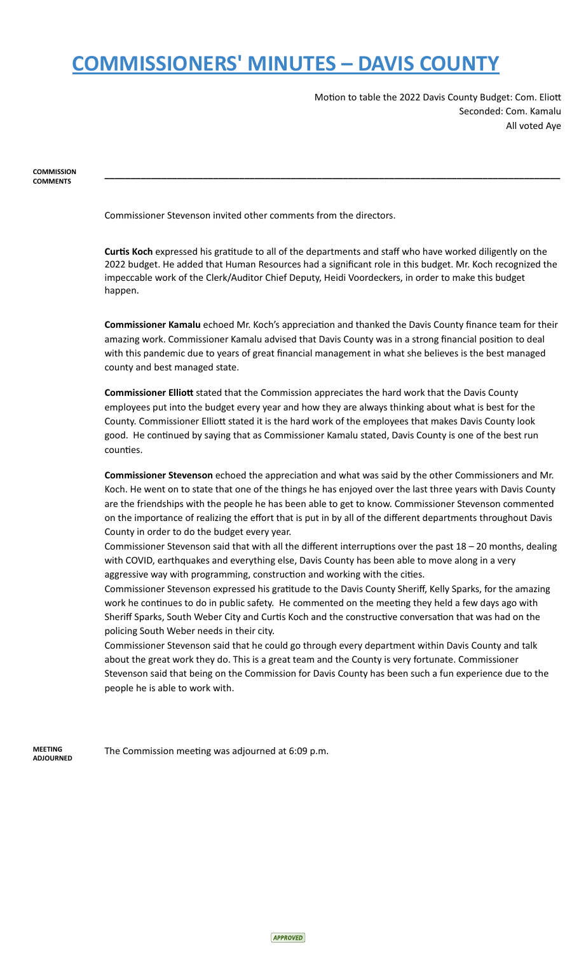### **COMMISSIONERS' MINUTES – DAVIS COUNTY**

Motion to table the 2022 Davis County Budget: Com. Eliott Seconded: Com. Kamalu All voted Aye

 **COMMISSION COMMENTS** 

Commissioner Stevenson invited other comments from the directors.

**Curtis Koch** expressed his gratitude to all of the departments and staff who have worked diligently on the 2022 budget. He added that Human Resources had a significant role in this budget. Mr. Koch recognized the impeccable work of the Clerk/Auditor Chief Deputy, Heidi Voordeckers, in order to make this budget happen.

**\_\_\_\_\_\_\_\_\_\_\_\_\_\_\_\_\_\_\_\_\_\_\_\_\_\_\_\_\_\_\_\_\_\_\_\_\_\_\_\_\_\_\_\_\_\_\_\_\_\_\_\_\_\_\_\_\_\_\_\_\_\_\_\_\_\_\_\_\_\_\_\_\_\_\_\_\_\_\_\_\_\_\_\_\_\_\_\_** 

**Commissioner Kamalu** echoed Mr. Koch's appreciation and thanked the Davis County finance team for their amazing work. Commissioner Kamalu advised that Davis County was in a strong financial position to deal with this pandemic due to years of great financial management in what she believes is the best managed county and best managed state.

**Commissioner Elliott** stated that the Commission appreciates the hard work that the Davis County employees put into the budget every year and how they are always thinking about what is best for the County. Commissioner Elliott stated it is the hard work of the employees that makes Davis County look good. He continued by saying that as Commissioner Kamalu stated, Davis County is one of the best run counties.

**Commissioner Stevenson** echoed the appreciation and what was said by the other Commissioners and Mr. Koch. He went on to state that one of the things he has enjoyed over the last three years with Davis County are the friendships with the people he has been able to get to know. Commissioner Stevenson commented on the importance of realizing the effort that is put in by all of the different departments throughout Davis County in order to do the budget every year.

Commissioner Stevenson said that with all the different interruptions over the past  $18 - 20$  months, dealing with COVID, earthquakes and everything else, Davis County has been able to move along in a very aggressive way with programming, construction and working with the cities.

Commissioner Stevenson expressed his gratitude to the Davis County Sheriff, Kelly Sparks, for the amazing work he continues to do in public safety. He commented on the meeting they held a few days ago with Sheriff Sparks, South Weber City and Curtis Koch and the constructive conversation that was had on the policing South Weber needs in their city.

 Commissioner Stevenson said that he could go through every department within Davis County and talk about the great work they do. This is a great team and the County is very fortunate. Commissioner Stevenson said that being on the Commission for Davis County has been such a fun experience due to the people he is able to work with.

 **MEETING ADJOURNED** 

The Commission meeting was adjourned at 6:09 p.m.